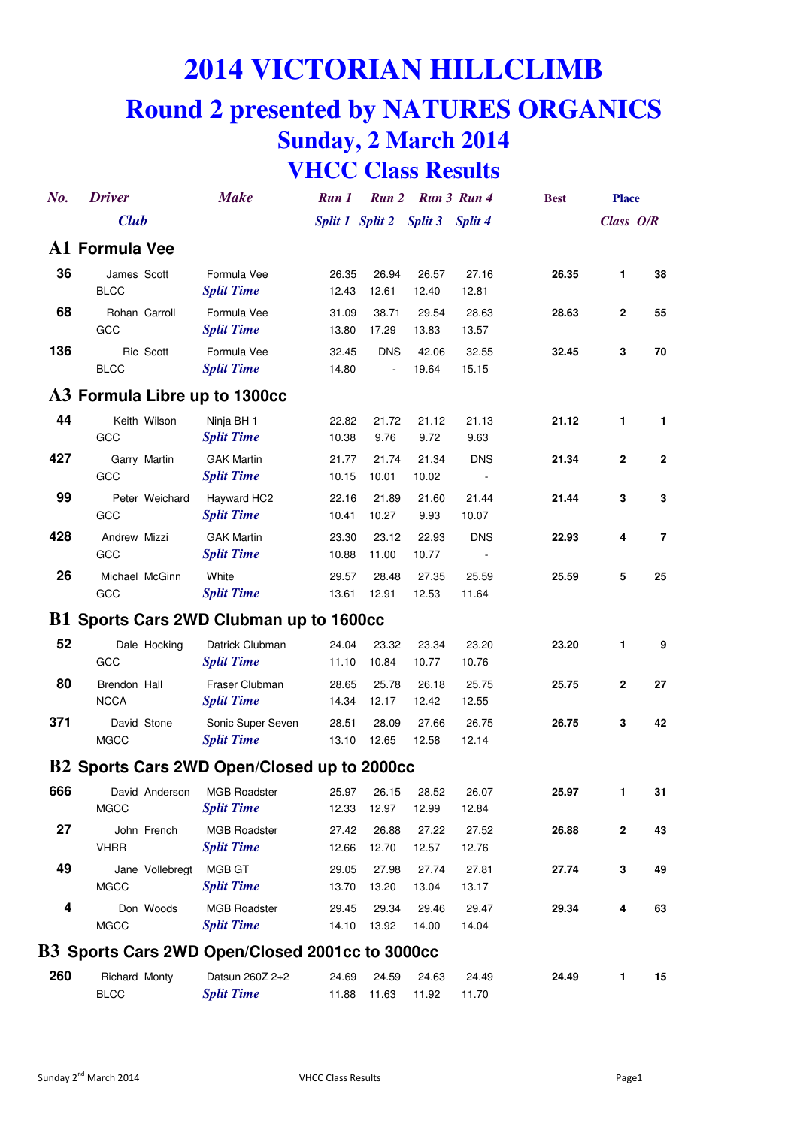# **2014 VICTORIAN HILLCLIMB**

## **Round 2 presented by NATURES ORGANICS Sunday, 2 March 2014 VHCC Class Results**

| No.                           | <b>Driver</b>                |                 | <b>Make</b>                                     | Run 1          |                         | Run 2 Run 3 Run 4 |                                        | <b>Best</b> | <b>Place</b> |              |  |
|-------------------------------|------------------------------|-----------------|-------------------------------------------------|----------------|-------------------------|-------------------|----------------------------------------|-------------|--------------|--------------|--|
|                               | <b>Club</b>                  |                 |                                                 |                | Split 1 Split 2 Split 3 |                   | <b>Split 4</b>                         |             | Class O/R    |              |  |
|                               | A1 Formula Vee               |                 |                                                 |                |                         |                   |                                        |             |              |              |  |
| 36                            | James Scott<br><b>BLCC</b>   |                 | Formula Vee<br><b>Split Time</b>                | 26.35<br>12.43 | 26.94<br>12.61          | 26.57<br>12.40    | 27.16<br>12.81                         | 26.35       | 1            | 38           |  |
| 68                            | GCC                          | Rohan Carroll   | Formula Vee<br><b>Split Time</b>                | 31.09<br>13.80 | 38.71<br>17.29          | 29.54<br>13.83    | 28.63<br>13.57                         | 28.63       | 2            | 55           |  |
| 136                           | <b>BLCC</b>                  | Ric Scott       | Formula Vee<br><b>Split Time</b>                | 32.45<br>14.80 | <b>DNS</b><br>÷,        | 42.06<br>19.64    | 32.55<br>15.15                         | 32.45       | 3            | 70           |  |
| A3 Formula Libre up to 1300cc |                              |                 |                                                 |                |                         |                   |                                        |             |              |              |  |
| 44                            | GCC                          | Keith Wilson    | Ninja BH 1<br><b>Split Time</b>                 | 22.82<br>10.38 | 21.72<br>9.76           | 21.12<br>9.72     | 21.13<br>9.63                          | 21.12       | 1            | 1            |  |
| 427                           | GCC                          | Garry Martin    | <b>GAK Martin</b><br><b>Split Time</b>          | 21.77<br>10.15 | 21.74<br>10.01          | 21.34<br>10.02    | <b>DNS</b><br>$\overline{\phantom{a}}$ | 21.34       | $\mathbf 2$  | $\mathbf{2}$ |  |
| 99                            | GCC                          | Peter Weichard  | Hayward HC2<br><b>Split Time</b>                | 22.16<br>10.41 | 21.89<br>10.27          | 21.60<br>9.93     | 21.44<br>10.07                         | 21.44       | 3            | 3            |  |
| 428                           | Andrew Mizzi<br>GCC          |                 | <b>GAK Martin</b><br><b>Split Time</b>          | 23.30<br>10.88 | 23.12<br>11.00          | 22.93<br>10.77    | <b>DNS</b>                             | 22.93       | 4            | 7            |  |
| 26                            | Michael McGinn<br>GCC        |                 | White<br><b>Split Time</b>                      | 29.57<br>13.61 | 28.48<br>12.91          | 27.35<br>12.53    | 25.59<br>11.64                         | 25.59       | 5            | 25           |  |
|                               |                              |                 | B1 Sports Cars 2WD Clubman up to 1600cc         |                |                         |                   |                                        |             |              |              |  |
| 52                            | GCC                          | Dale Hocking    | Datrick Clubman<br><b>Split Time</b>            | 24.04<br>11.10 | 23.32<br>10.84          | 23.34<br>10.77    | 23.20<br>10.76                         | 23.20       | 1            | 9            |  |
| 80                            | Brendon Hall<br><b>NCCA</b>  |                 | Fraser Clubman<br><b>Split Time</b>             | 28.65<br>14.34 | 25.78<br>12.17          | 26.18<br>12.42    | 25.75<br>12.55                         | 25.75       | $\mathbf 2$  | 27           |  |
| 371                           | <b>MGCC</b>                  | David Stone     | Sonic Super Seven<br><b>Split Time</b>          | 28.51<br>13.10 | 28.09<br>12.65          | 27.66<br>12.58    | 26.75<br>12.14                         | 26.75       | 3            | 42           |  |
|                               |                              |                 | B2 Sports Cars 2WD Open/Closed up to 2000cc     |                |                         |                   |                                        |             |              |              |  |
| 666                           | <b>MGCC</b>                  | David Anderson  | <b>MGB Roadster</b><br><b>Split Time</b>        | 25.97<br>12.33 | 26.15<br>12.97          | 28.52<br>12.99    | 26.07<br>12.84                         | 25.97       | 1            | 31           |  |
| 27                            | <b>VHRR</b>                  | John French     | <b>MGB Roadster</b><br><b>Split Time</b>        | 27.42<br>12.66 | 26.88<br>12.70          | 27.22<br>12.57    | 27.52<br>12.76                         | 26.88       | $\mathbf 2$  | 43           |  |
| 49                            | <b>MGCC</b>                  | Jane Vollebregt | MGB GT<br><b>Split Time</b>                     | 29.05<br>13.70 | 27.98<br>13.20          | 27.74<br>13.04    | 27.81<br>13.17                         | 27.74       | 3            | 49           |  |
| 4                             | <b>MGCC</b>                  | Don Woods       | <b>MGB Roadster</b><br><b>Split Time</b>        | 29.45<br>14.10 | 29.34<br>13.92          | 29.46<br>14.00    | 29.47<br>14.04                         | 29.34       | 4            | 63           |  |
|                               |                              |                 | B3 Sports Cars 2WD Open/Closed 2001cc to 3000cc |                |                         |                   |                                        |             |              |              |  |
| 260                           | Richard Monty<br><b>BLCC</b> |                 | Datsun 260Z 2+2<br><b>Split Time</b>            | 24.69<br>11.88 | 24.59<br>11.63          | 24.63<br>11.92    | 24.49<br>11.70                         | 24.49       | 1            | 15           |  |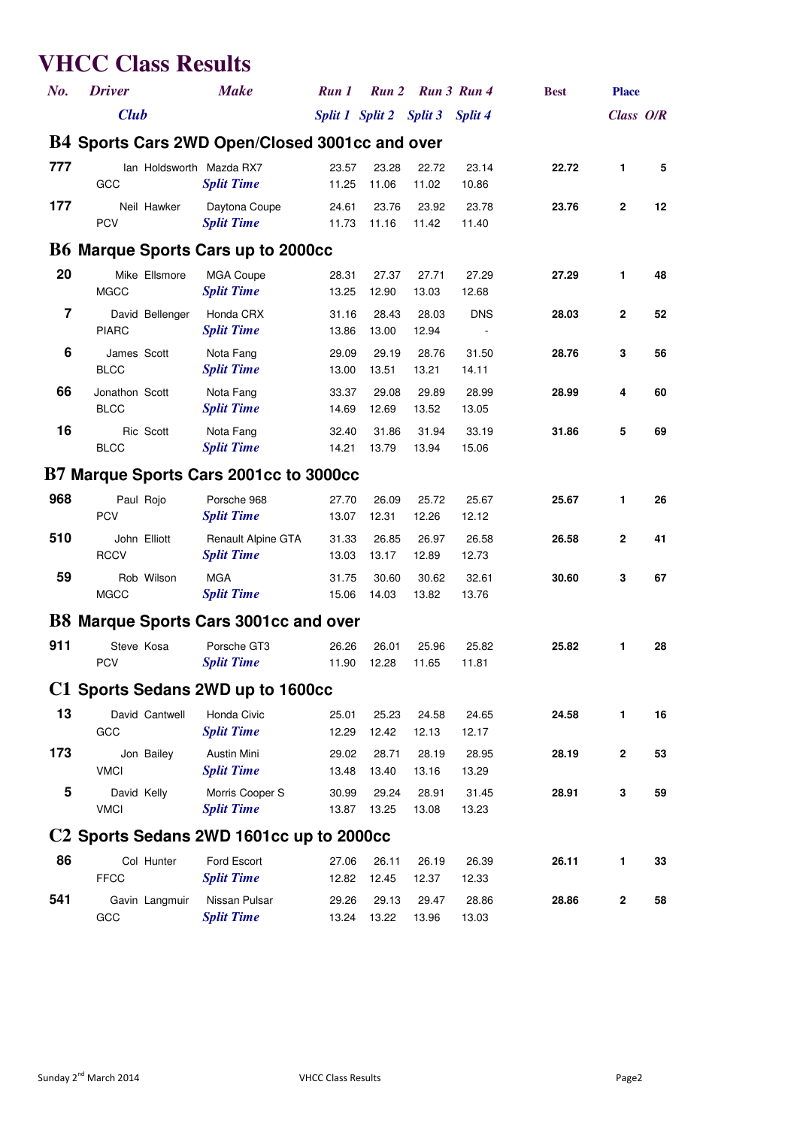#### **VHCC Class Results**

| No.            | <b>Driver</b>                                        | <b>Make</b>                             | Run 1           | Run 2          |                | Run 3 Run 4    | <b>Best</b> | <b>Place</b> |    |  |  |  |
|----------------|------------------------------------------------------|-----------------------------------------|-----------------|----------------|----------------|----------------|-------------|--------------|----|--|--|--|
|                | <b>Club</b>                                          |                                         | Split 1 Split 2 |                | <b>Split 3</b> | Split 4        |             | Class O/R    |    |  |  |  |
|                | B4 Sports Cars 2WD Open/Closed 3001cc and over       |                                         |                 |                |                |                |             |              |    |  |  |  |
| 777            | Ian Holdsworth Mazda RX7<br>GCC                      | <b>Split Time</b>                       | 23.57<br>11.25  | 23.28<br>11.06 | 22.72<br>11.02 | 23.14<br>10.86 | 22.72       | 1.           | 5  |  |  |  |
| 177            | Neil Hawker<br><b>PCV</b>                            | Daytona Coupe<br><b>Split Time</b>      | 24.61<br>11.73  | 23.76<br>11.16 | 23.92<br>11.42 | 23.78<br>11.40 | 23.76       | $\mathbf{2}$ | 12 |  |  |  |
|                | <b>B6 Marque Sports Cars up to 2000cc</b>            |                                         |                 |                |                |                |             |              |    |  |  |  |
| 20             | Mike Ellsmore<br><b>MGCC</b>                         | <b>MGA Coupe</b><br><b>Split Time</b>   | 28.31<br>13.25  | 27.37<br>12.90 | 27.71<br>13.03 | 27.29<br>12.68 | 27.29       | 1            | 48 |  |  |  |
| $\overline{7}$ | David Bellenger<br><b>PIARC</b>                      | Honda CRX<br><b>Split Time</b>          | 31.16<br>13.86  | 28.43<br>13.00 | 28.03<br>12.94 | <b>DNS</b>     | 28.03       | $\mathbf 2$  | 52 |  |  |  |
| 6              | James Scott<br><b>BLCC</b>                           | Nota Fang<br><b>Split Time</b>          | 29.09<br>13.00  | 29.19<br>13.51 | 28.76<br>13.21 | 31.50<br>14.11 | 28.76       | 3            | 56 |  |  |  |
| 66             | Jonathon Scott<br><b>BLCC</b>                        | Nota Fang<br><b>Split Time</b>          | 33.37<br>14.69  | 29.08<br>12.69 | 29.89<br>13.52 | 28.99<br>13.05 | 28.99       | 4            | 60 |  |  |  |
| 16             | Ric Scott<br><b>BLCC</b>                             | Nota Fang<br><b>Split Time</b>          | 32.40<br>14.21  | 31.86<br>13.79 | 31.94<br>13.94 | 33.19<br>15.06 | 31.86       | 5            | 69 |  |  |  |
|                | B7 Marque Sports Cars 2001cc to 3000cc               |                                         |                 |                |                |                |             |              |    |  |  |  |
| 968            | Paul Rojo<br><b>PCV</b>                              | Porsche 968<br><b>Split Time</b>        | 27.70<br>13.07  | 26.09<br>12.31 | 25.72<br>12.26 | 25.67<br>12.12 | 25.67       | 1            | 26 |  |  |  |
| 510            | John Elliott<br><b>RCCV</b>                          | Renault Alpine GTA<br><b>Split Time</b> | 31.33<br>13.03  | 26.85<br>13.17 | 26.97<br>12.89 | 26.58<br>12.73 | 26.58       | $\mathbf{2}$ | 41 |  |  |  |
| 59             | Rob Wilson<br><b>MGCC</b>                            | <b>MGA</b><br><b>Split Time</b>         | 31.75<br>15.06  | 30.60<br>14.03 | 30.62<br>13.82 | 32.61<br>13.76 | 30.60       | 3            | 67 |  |  |  |
|                | <b>B8 Marque Sports Cars 3001cc and over</b>         |                                         |                 |                |                |                |             |              |    |  |  |  |
| 911            | Steve Kosa<br><b>PCV</b>                             | Porsche GT3<br><b>Split Time</b>        | 26.26<br>11.90  | 26.01<br>12.28 | 25.96<br>11.65 | 25.82<br>11.81 | 25.82       | 1            | 28 |  |  |  |
|                | C1 Sports Sedans 2WD up to 1600cc                    |                                         |                 |                |                |                |             |              |    |  |  |  |
| 13             | David Cantwell<br>GCC                                | Honda Civic<br><b>Split Time</b>        | 25.01<br>12.29  | 25.23<br>12.42 | 24.58<br>12.13 | 24.65<br>12.17 | 24.58       | 1            | 16 |  |  |  |
| 173            | Jon Bailey<br><b>VMCI</b>                            | Austin Mini<br><b>Split Time</b>        | 29.02<br>13.48  | 28.71<br>13.40 | 28.19<br>13.16 | 28.95<br>13.29 | 28.19       | $\mathbf{2}$ | 53 |  |  |  |
| 5              | David Kelly<br><b>VMCI</b>                           | Morris Cooper S<br><b>Split Time</b>    | 30.99<br>13.87  | 29.24<br>13.25 | 28.91<br>13.08 | 31.45<br>13.23 | 28.91       | 3            | 59 |  |  |  |
|                | C <sub>2</sub> Sports Sedans 2WD 1601cc up to 2000cc |                                         |                 |                |                |                |             |              |    |  |  |  |
| 86             | Col Hunter<br><b>FFCC</b>                            | Ford Escort<br><b>Split Time</b>        | 27.06<br>12.82  | 26.11<br>12.45 | 26.19<br>12.37 | 26.39<br>12.33 | 26.11       | 1            | 33 |  |  |  |
| 541            | Gavin Langmuir<br>GCC                                | Nissan Pulsar<br><b>Split Time</b>      | 29.26<br>13.24  | 29.13<br>13.22 | 29.47<br>13.96 | 28.86<br>13.03 | 28.86       | 2            | 58 |  |  |  |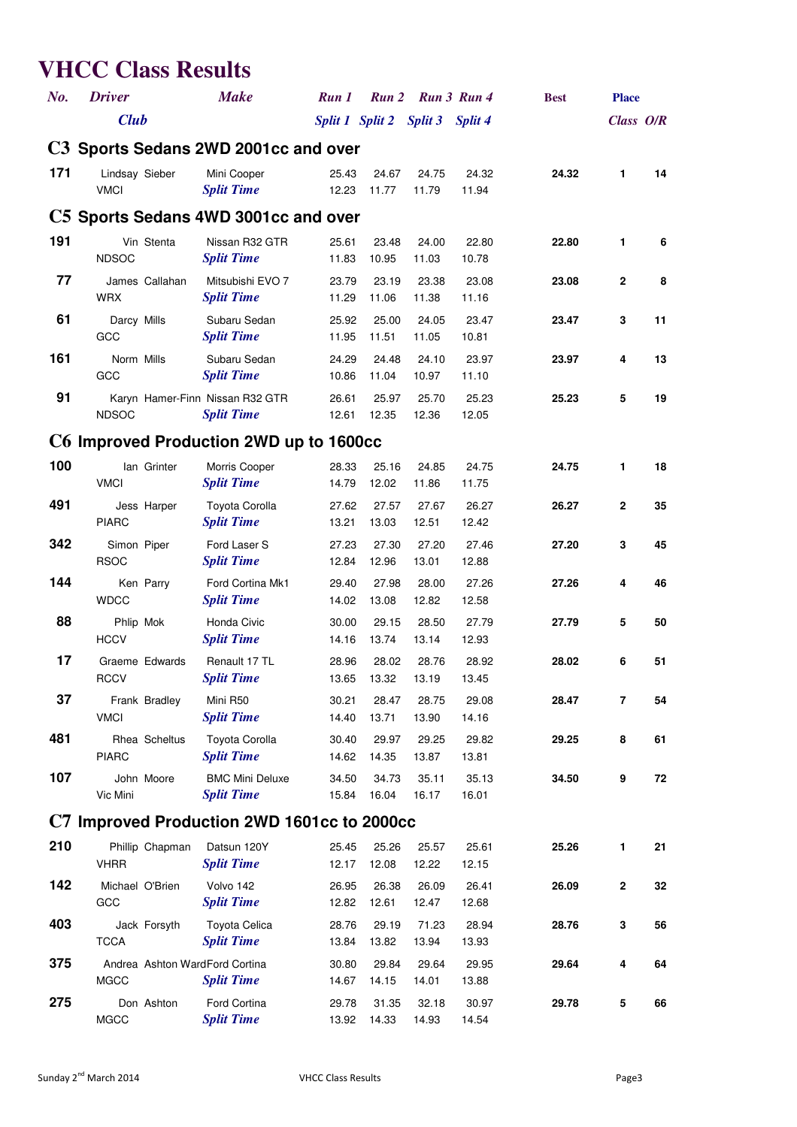## **VHCC Class Results**

| No.                                  | <b>Driver</b>                                 | <b>Make</b>                                          | Run 1           |                | Run 2 Run 3 Run 4 |                | <b>Best</b> | <b>Place</b> |    |  |  |  |
|--------------------------------------|-----------------------------------------------|------------------------------------------------------|-----------------|----------------|-------------------|----------------|-------------|--------------|----|--|--|--|
|                                      | <b>Club</b>                                   |                                                      | Split 1 Split 2 |                | <b>Split 3</b>    | Split 4        |             | Class O/R    |    |  |  |  |
| C3 Sports Sedans 2WD 2001cc and over |                                               |                                                      |                 |                |                   |                |             |              |    |  |  |  |
| 171                                  | Lindsay Sieber<br><b>VMCI</b>                 | Mini Cooper<br><b>Split Time</b>                     | 25.43<br>12.23  | 24.67<br>11.77 | 24.75<br>11.79    | 24.32<br>11.94 | 24.32       | 1.           | 14 |  |  |  |
|                                      | C5 Sports Sedans 4WD 3001cc and over          |                                                      |                 |                |                   |                |             |              |    |  |  |  |
| 191                                  | Vin Stenta<br><b>NDSOC</b>                    | Nissan R32 GTR<br><b>Split Time</b>                  | 25.61<br>11.83  | 23.48<br>10.95 | 24.00<br>11.03    | 22.80<br>10.78 | 22.80       | 1            | 6  |  |  |  |
| 77                                   | James Callahan<br><b>WRX</b>                  | Mitsubishi EVO 7<br><b>Split Time</b>                | 23.79<br>11.29  | 23.19<br>11.06 | 23.38<br>11.38    | 23.08<br>11.16 | 23.08       | $\mathbf{2}$ | 8  |  |  |  |
| 61                                   | Darcy Mills<br>GCC                            | Subaru Sedan<br><b>Split Time</b>                    | 25.92<br>11.95  | 25.00<br>11.51 | 24.05<br>11.05    | 23.47<br>10.81 | 23.47       | 3            | 11 |  |  |  |
| 161                                  | Norm Mills<br>GCC                             | Subaru Sedan<br><b>Split Time</b>                    | 24.29<br>10.86  | 24.48<br>11.04 | 24.10<br>10.97    | 23.97<br>11.10 | 23.97       | 4            | 13 |  |  |  |
| 91                                   | <b>NDSOC</b>                                  | Karyn Hamer-Finn Nissan R32 GTR<br><b>Split Time</b> | 26.61<br>12.61  | 25.97<br>12.35 | 25.70<br>12.36    | 25.23<br>12.05 | 25.23       | 5            | 19 |  |  |  |
|                                      | C6 Improved Production 2WD up to 1600cc       |                                                      |                 |                |                   |                |             |              |    |  |  |  |
| 100                                  | lan Grinter<br><b>VMCI</b>                    | Morris Cooper<br><b>Split Time</b>                   | 28.33<br>14.79  | 25.16<br>12.02 | 24.85<br>11.86    | 24.75<br>11.75 | 24.75       | 1            | 18 |  |  |  |
| 491                                  | Jess Harper<br><b>PIARC</b>                   | <b>Toyota Corolla</b><br><b>Split Time</b>           | 27.62<br>13.21  | 27.57<br>13.03 | 27.67<br>12.51    | 26.27<br>12.42 | 26.27       | $\mathbf{2}$ | 35 |  |  |  |
| 342                                  | Simon Piper<br><b>RSOC</b>                    | Ford Laser S<br><b>Split Time</b>                    | 27.23<br>12.84  | 27.30<br>12.96 | 27.20<br>13.01    | 27.46<br>12.88 | 27.20       | 3            | 45 |  |  |  |
| 144                                  | Ken Parry<br><b>WDCC</b>                      | Ford Cortina Mk1<br><b>Split Time</b>                | 29.40<br>14.02  | 27.98<br>13.08 | 28.00<br>12.82    | 27.26<br>12.58 | 27.26       | 4            | 46 |  |  |  |
| 88                                   | Phlip Mok<br><b>HCCV</b>                      | Honda Civic<br><b>Split Time</b>                     | 30.00<br>14.16  | 29.15<br>13.74 | 28.50<br>13.14    | 27.79<br>12.93 | 27.79       | 5            | 50 |  |  |  |
| 17                                   | Graeme Edwards<br><b>RCCV</b>                 | Renault 17 TL<br><b>Split Time</b>                   | 28.96<br>13.65  | 28.02<br>13.32 | 28.76<br>13.19    | 28.92<br>13.45 | 28.02       | 6            | 51 |  |  |  |
| 37                                   | Frank Bradley<br><b>VMCI</b>                  | Mini R50<br><b>Split Time</b>                        | 30.21<br>14.40  | 28.47<br>13.71 | 28.75<br>13.90    | 29.08<br>14.16 | 28.47       | 7            | 54 |  |  |  |
| 481                                  | Rhea Scheltus<br><b>PIARC</b>                 | <b>Toyota Corolla</b><br><b>Split Time</b>           | 30.40<br>14.62  | 29.97<br>14.35 | 29.25<br>13.87    | 29.82<br>13.81 | 29.25       | 8            | 61 |  |  |  |
| 107                                  | John Moore<br>Vic Mini                        | <b>BMC Mini Deluxe</b><br><b>Split Time</b>          | 34.50<br>15.84  | 34.73<br>16.04 | 35.11<br>16.17    | 35.13<br>16.01 | 34.50       | 9            | 72 |  |  |  |
|                                      | C7 Improved Production 2WD 1601cc to 2000cc   |                                                      |                 |                |                   |                |             |              |    |  |  |  |
| 210                                  | Phillip Chapman<br><b>VHRR</b>                | Datsun 120Y<br><b>Split Time</b>                     | 25.45<br>12.17  | 25.26<br>12.08 | 25.57<br>12.22    | 25.61<br>12.15 | 25.26       | 1            | 21 |  |  |  |
| 142                                  | Michael O'Brien<br>GCC                        | Volvo 142<br><b>Split Time</b>                       | 26.95<br>12.82  | 26.38<br>12.61 | 26.09<br>12.47    | 26.41<br>12.68 | 26.09       | $\mathbf 2$  | 32 |  |  |  |
| 403                                  | Jack Forsyth<br><b>TCCA</b>                   | Toyota Celica<br><b>Split Time</b>                   | 28.76<br>13.84  | 29.19<br>13.82 | 71.23<br>13.94    | 28.94<br>13.93 | 28.76       | 3            | 56 |  |  |  |
| 375                                  | Andrea Ashton WardFord Cortina<br><b>MGCC</b> | <b>Split Time</b>                                    | 30.80<br>14.67  | 29.84<br>14.15 | 29.64<br>14.01    | 29.95<br>13.88 | 29.64       | 4            | 64 |  |  |  |
| 275                                  | Don Ashton<br>MGCC                            | Ford Cortina<br><b>Split Time</b>                    | 29.78<br>13.92  | 31.35<br>14.33 | 32.18<br>14.93    | 30.97<br>14.54 | 29.78       | 5            | 66 |  |  |  |